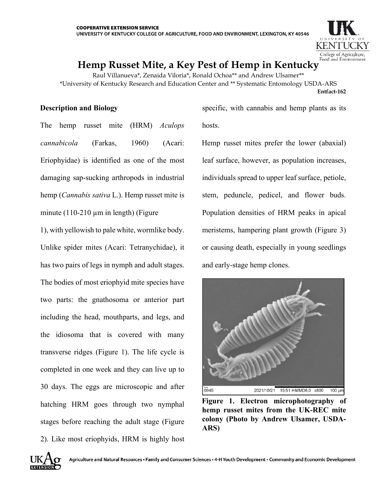

# **Hemp Russet Mite, a Key Pest of Hemp in Kentucky**

Raul Villanueva\*, Zenaida Viloria\*, Ronald Ochoa\*\* and Andrew Ulsamer\*\* \*University of Kentucky Research and Education Center and \*\* Systematic Entomology USDA-ARS **Entfact-162** 

## **Description and Biology**

The hemp russet mite (HRM) *Aculops cannabicola* (Farkas, 1960) (Acari: Eriophyidae) is identified as one of the most damaging sap-sucking arthropods in industrial hemp (*Cannabis sativa* L.). Hemp russet mite is minute  $(110-210 \mu m)$  in length) (Figure

1), with yellowish to pale white, wormlike body. Unlike spider mites (Acari: Tetranychidae), it has two pairs of legs in nymph and adult stages. The bodies of most eriophyid mite species have two parts: the gnathosoma or anterior part including the head, mouthparts, and legs, and the idiosoma that is covered with many transverse ridges (Figure 1). The life cycle is completed in one week and they can live up to 30 days. The eggs are microscopic and after hatching HRM goes through two nymphal stages before reaching the adult stage (Figure 2). Like most eriophyids, HRM is highly host

specific, with cannabis and hemp plants as its hosts.

Hemp russet mites prefer the lower (abaxial) leaf surface, however, as population increases, individuals spread to upper leaf surface, petiole, stem, peduncle, pedicel, and flower buds. Population densities of HRM peaks in apical meristems, hampering plant growth (Figure 3) or causing death, especially in young seedlings and early-stage hemp clones.



**Figure 1. Electron microphotography of hemp russet mites from the UK-REC mite colony (Photo by Andrew Ulsamer, USDA-ARS)**

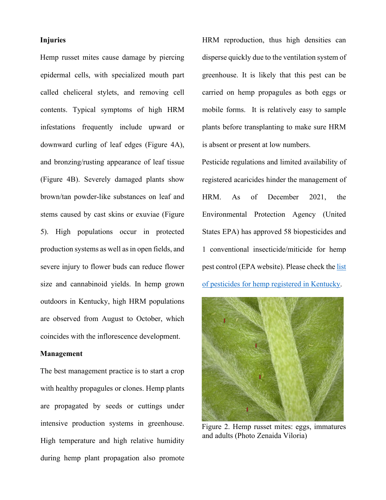#### **Injuries**

Hemp russet mites cause damage by piercing epidermal cells, with specialized mouth part called cheliceral stylets, and removing cell contents. Typical symptoms of high HRM infestations frequently include upward or downward curling of leaf edges (Figure 4A), and bronzing/rusting appearance of leaf tissue (Figure 4B). Severely damaged plants show brown/tan powder-like substances on leaf and stems caused by cast skins or exuviae (Figure 5). High populations occur in protected production systems as well as in open fields, and severe injury to flower buds can reduce flower size and cannabinoid yields. In hemp grown outdoors in Kentucky, high HRM populations are observed from August to October, which coincides with the inflorescence development.

#### **Management**

The best management practice is to start a crop with healthy propagules or clones. Hemp plants are propagated by seeds or cuttings under intensive production systems in greenhouse. High temperature and high relative humidity during hemp plant propagation also promote HRM reproduction, thus high densities can disperse quickly due to the ventilation system of greenhouse. It is likely that this pest can be carried on hemp propagules as both eggs or mobile forms. It is relatively easy to sample plants before transplanting to make sure HRM is absent or present at low numbers.

Pesticide regulations and limited availability of registered acaricides hinder the management of HRM. As of December 2021, the Environmental Protection Agency (United States EPA) has approved 58 biopesticides and 1 conventional insecticide/miticide for hemp pest control (EPA website). Please check th[e list](https://www.kyagr.com/consumer/documents/ES_AGR_PesticidesandHemp.pdf)  [of pesticides for hemp registered in Kentucky.](https://www.kyagr.com/consumer/documents/ES_AGR_PesticidesandHemp.pdf)



Figure 2. Hemp russet mites: eggs, immatures and adults (Photo Zenaida Viloria)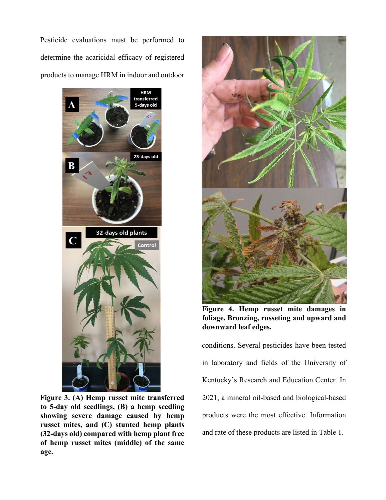Pesticide evaluations must be performed to determine the acaricidal efficacy of registered products to manage HRM in indoor and outdoor



**Figure 3. (A) Hemp russet mite transferred to 5-day old seedlings, (B) a hemp seedling showing severe damage caused by hemp russet mites, and (C) stunted hemp plants (32-days old) compared with hemp plant free of hemp russet mites (middle) of the same age.**



**Figure 4. Hemp russet mite damages in foliage. Bronzing, russeting and upward and downward leaf edges.**

conditions. Several pesticides have been tested in laboratory and fields of the University of Kentucky's Research and Education Center. In 2021, a mineral oil-based and biological-based products were the most effective. Information and rate of these products are listed in Table 1.